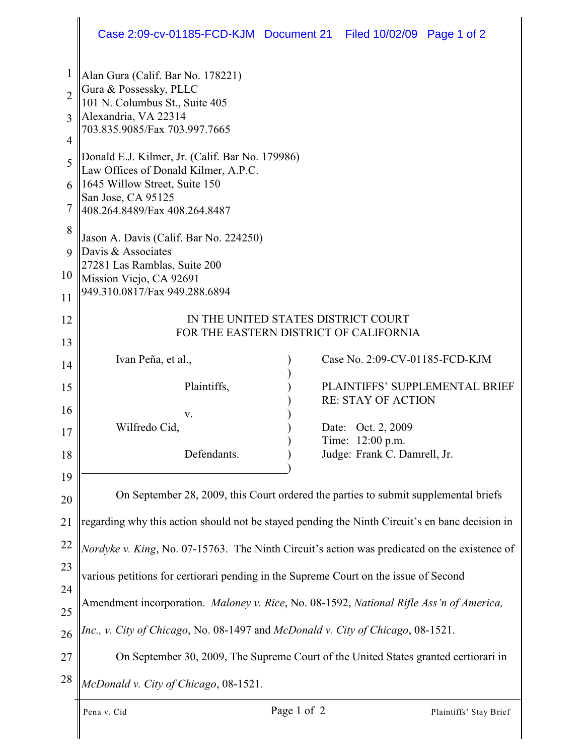|                                          | Case 2:09-cv-01185-FCD-KJM Document 21 Filed 10/02/09 Page 1 of 2                                                                                                                                                                                                                                                                                                                                                                                                                                     |  |                                                                                                                     |  |  |
|------------------------------------------|-------------------------------------------------------------------------------------------------------------------------------------------------------------------------------------------------------------------------------------------------------------------------------------------------------------------------------------------------------------------------------------------------------------------------------------------------------------------------------------------------------|--|---------------------------------------------------------------------------------------------------------------------|--|--|
| $\mathbf{1}$<br>$\overline{2}$<br>3<br>4 | Alan Gura (Calif. Bar No. 178221)<br>Gura & Possessky, PLLC<br>101 N. Columbus St., Suite 405<br>Alexandria, VA 22314<br>703.835.9085/Fax 703.997.7665<br>Donald E.J. Kilmer, Jr. (Calif. Bar No. 179986)<br>Law Offices of Donald Kilmer, A.P.C.<br>1645 Willow Street, Suite 150<br>San Jose, CA 95125<br>408.264.8489/Fax 408.264.8487<br>Jason A. Davis (Calif. Bar No. 224250)<br>Davis & Associates<br>27281 Las Ramblas, Suite 200<br>Mission Viejo, CA 92691<br>949.310.0817/Fax 949.288.6894 |  |                                                                                                                     |  |  |
| 5<br>6<br>7                              |                                                                                                                                                                                                                                                                                                                                                                                                                                                                                                       |  |                                                                                                                     |  |  |
| 8<br>9<br>10<br>11                       |                                                                                                                                                                                                                                                                                                                                                                                                                                                                                                       |  |                                                                                                                     |  |  |
| 12<br>13                                 | IN THE UNITED STATES DISTRICT COURT<br>FOR THE EASTERN DISTRICT OF CALIFORNIA                                                                                                                                                                                                                                                                                                                                                                                                                         |  |                                                                                                                     |  |  |
| 14<br>15<br>16                           | Ivan Peña, et al.,<br>Plaintiffs,<br>V.<br>Wilfredo Cid,                                                                                                                                                                                                                                                                                                                                                                                                                                              |  | Case No. 2:09-CV-01185-FCD-KJM<br>PLAINTIFFS' SUPPLEMENTAL BRIEF<br><b>RE: STAY OF ACTION</b><br>Date: Oct. 2, 2009 |  |  |
| 17<br>18                                 | Defendants.                                                                                                                                                                                                                                                                                                                                                                                                                                                                                           |  | Time: 12:00 p.m.<br>Judge: Frank C. Damrell, Jr.                                                                    |  |  |
| 19<br>20                                 | On September 28, 2009, this Court ordered the parties to submit supplemental briefs                                                                                                                                                                                                                                                                                                                                                                                                                   |  |                                                                                                                     |  |  |
| 21                                       | regarding why this action should not be stayed pending the Ninth Circuit's en banc decision in                                                                                                                                                                                                                                                                                                                                                                                                        |  |                                                                                                                     |  |  |
| 22<br>23                                 | Nordyke v. King, No. 07-15763. The Ninth Circuit's action was predicated on the existence of                                                                                                                                                                                                                                                                                                                                                                                                          |  |                                                                                                                     |  |  |
| 24                                       | various petitions for certiorari pending in the Supreme Court on the issue of Second                                                                                                                                                                                                                                                                                                                                                                                                                  |  |                                                                                                                     |  |  |
| 25                                       | Amendment incorporation. Maloney v. Rice, No. 08-1592, National Rifle Ass'n of America,                                                                                                                                                                                                                                                                                                                                                                                                               |  |                                                                                                                     |  |  |
| 26                                       | Inc., v. City of Chicago, No. 08-1497 and McDonald v. City of Chicago, 08-1521.                                                                                                                                                                                                                                                                                                                                                                                                                       |  |                                                                                                                     |  |  |
| 27                                       | On September 30, 2009, The Supreme Court of the United States granted certiorari in                                                                                                                                                                                                                                                                                                                                                                                                                   |  |                                                                                                                     |  |  |
| 28                                       | McDonald v. City of Chicago, 08-1521.                                                                                                                                                                                                                                                                                                                                                                                                                                                                 |  |                                                                                                                     |  |  |